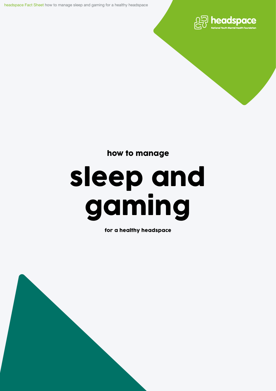headspace Fact Sheet how to manage sleep and gaming for a healthy headspace



how to manage

# sleep and gaming

for a healthy headspace